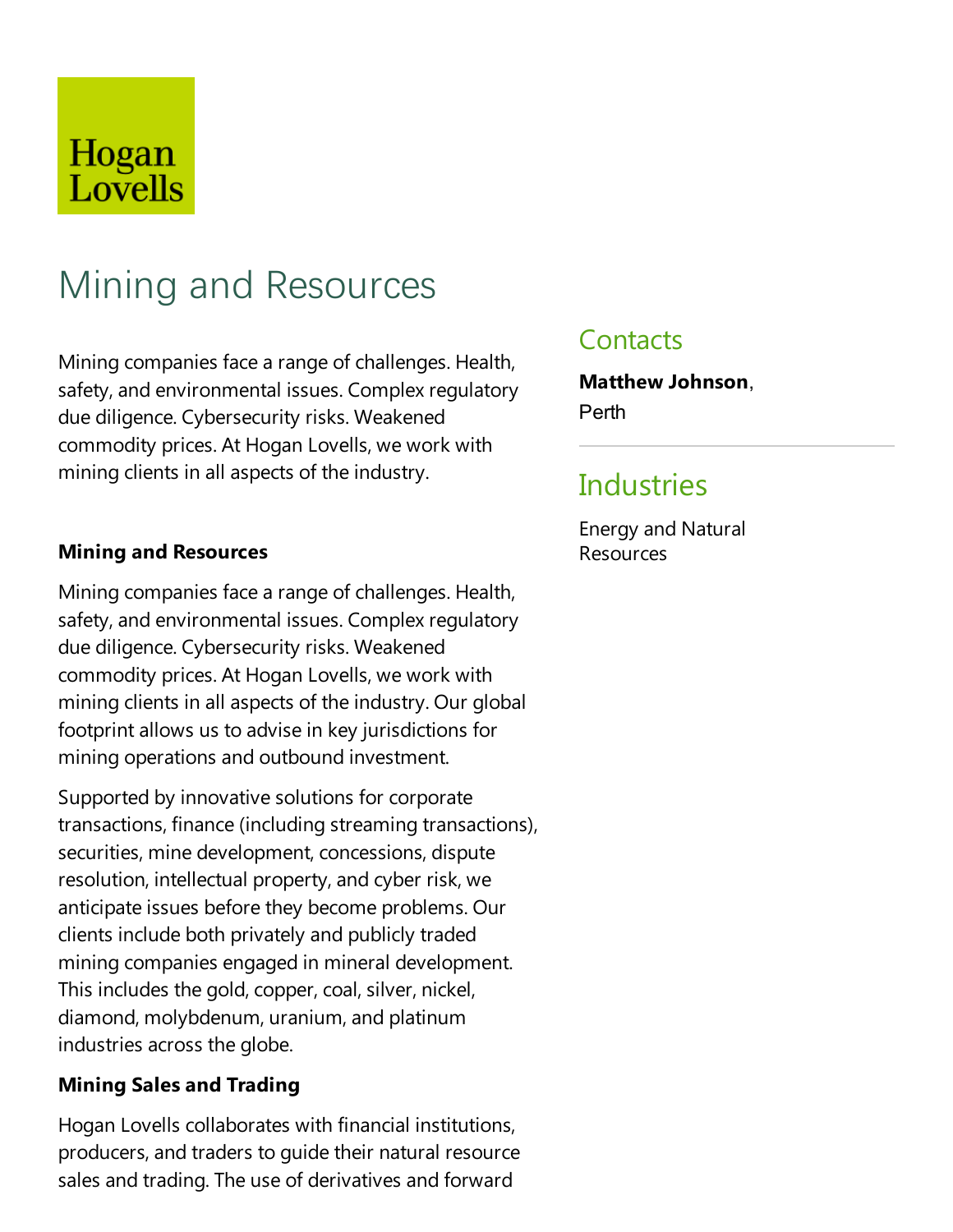## Hogan Lovells

# Mining and Resources

Mining companies face a range of challenges. Health, safety, and environmental issues. Complex regulatory due diligence. Cybersecurity risks. Weakened commodity prices. At Hogan Lovells, we work with mining clients in all aspects of the industry.

#### **Mining and Resources**

Mining companies face a range of challenges. Health, safety, and environmental issues. Complex regulatory due diligence. Cybersecurity risks. Weakened commodity prices. At Hogan Lovells, we work with mining clients in all aspects of the industry. Our global footprint allows us to advise in key jurisdictions for mining operations and outbound investment.

Supported by innovative solutions for corporate transactions, finance (including streaming transactions), securities, mine development, concessions, dispute resolution, intellectual property, and cyber risk, we anticipate issues before they become problems. Our clients include both privately and publicly traded mining companies engaged in mineral development. This includes the gold, copper, coal, silver, nickel, diamond, molybdenum, uranium, and platinum industries across the globe.

#### **Mining Sales and Trading**

Hogan Lovells collaborates with financial institutions, producers, and traders to quide their natural resource sales and trading.The use of derivatives and forward

### **Contacts**

**Matthew Johnson**, Perth

### **Industries**

Energy and Natural Resources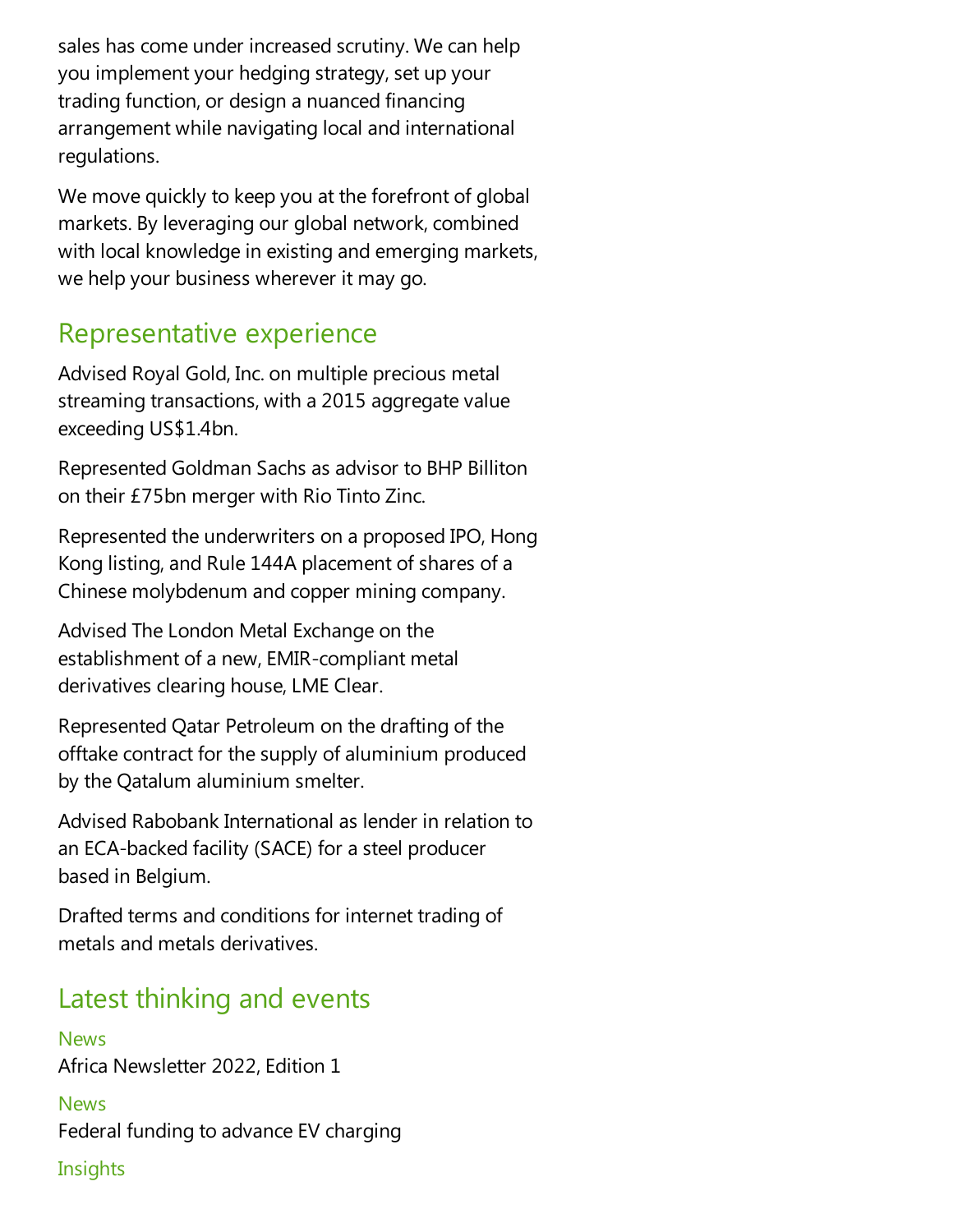sales has come under increased scrutiny. We can help you implementyour hedging strategy, set up your trading function, or design a nuanced financing arrangement while navigating local and international regulations.

We move quickly to keep you at the forefront of global markets. By leveraging our global network, combined with local knowledge in existing and emerging markets, we help your business wherever it may go.

### Representative experience

Advised Royal Gold, Inc. on multiple precious metal streaming transactions, with a 2015 aggregate value exceeding US\$1.4bn.

Represented Goldman Sachs as advisor to BHP Billiton on their £75bn merger with Rio Tinto Zinc.

Represented the underwriters on a proposed IPO, Hong Kong listing, and Rule 144A placement of shares of a Chinese molybdenum and copper mining company.

Advised The London Metal Exchange on the establishment of a new, EMIR-compliant metal derivatives clearing house, LME Clear.

Represented Qatar Petroleum on the drafting of the offtake contract for the supply of aluminium produced by the Qatalum aluminium smelter.

Advised Rabobank International as lender in relation to an ECA-backed facility (SACE) for asteel producer based in Belgium.

Drafted terms and conditions for internet trading of metals and metals derivatives.

### Latest thinking and events

News Africa Newsletter 2022, Edition 1

**News** Federal funding to advance EV charging

#### **Insights**